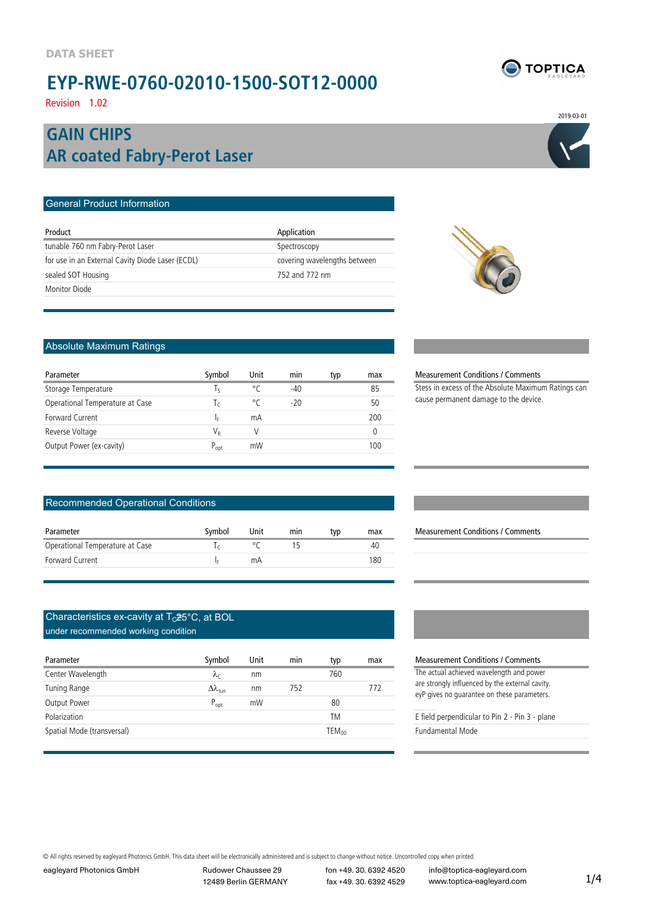

Revision 1.02

## **AR coated Fabry-Perot Laser GAIN CHIPS**

| <b>General Product Information</b> |             |
|------------------------------------|-------------|
|                                    |             |
| Product                            | Application |

| tunable 760 nm Fabry-Perot Laser                 | Spectroscopy                 |
|--------------------------------------------------|------------------------------|
| for use in an External Cavity Diode Laser (ECDL) | covering wavelengths between |
| sealed SOT Housing                               | 752 and 772 nm               |
| Monitor Diode                                    |                              |

| Application                  |
|------------------------------|
| Spectroscopy                 |
| covering wavelengths between |
| 752 and 772 nm               |



### Absolute Maximum Ratings

| Symbol    | Unit | min   | typ | max |
|-----------|------|-------|-----|-----|
| l c       | °C   | $-40$ |     | 85  |
| Ιc        | ۰Γ   | $-20$ |     | 50  |
| I۵        | mΑ   |       |     | 200 |
| $V_{R}$   |      |       |     |     |
| $P_{opt}$ | mW   |       |     | 100 |
|           |      |       |     |     |

### Recommended Operational Conditions

| Symbol | Unit | mın | tvp | max |
|--------|------|-----|-----|-----|
|        |      |     |     |     |
|        | mΑ   |     |     | 180 |
|        |      |     |     |     |

### Characteristics ex-cavity at  $T<sub>C</sub>25^{\circ}$ C, at BOL under recommended working condition

| Parameter                  | Symbol                    | Unit | min | typ        | max |
|----------------------------|---------------------------|------|-----|------------|-----|
| Center Wavelength          | $\lambda_c$               | nm   |     | 760        |     |
| Tuning Range               | $\Delta\lambda_{\rm tun}$ | nm   | 752 |            | 772 |
| Output Power               | $P_{opt}$                 | mW   |     | 80         |     |
| Polarization               |                           |      |     | ΤM         |     |
| Spatial Mode (transversal) |                           |      |     | $TEM_{00}$ |     |
|                            |                           |      |     |            |     |

Measurement Conditions / Comments

Stess in excess of the Absolute Maximum Ratings can cause permanent damage to the device.

#### Measurement Conditions / Comments

Measurement Conditions / Comments The actual achieved wavelength and power are strongly influenced by the external cavity. eyP gives no guarantee on these parameters.

E field perpendicular to Pin 2 - Pin 3 - plane Fundamental Mode

© All rights reserved by eagleyard Photonics GmbH. This data sheet will be electronically administered and is subject to change without notice. Uncontrolled copy when printed.

eagleyard Photonics GmbH Rudower Chaussee 29 fon +49. 30. 6392 4520 12489 Berlin GERMANY fax +49. 30. 6392 4529

info@toptica-eagleyard.com www.toptica-eagleyard.com

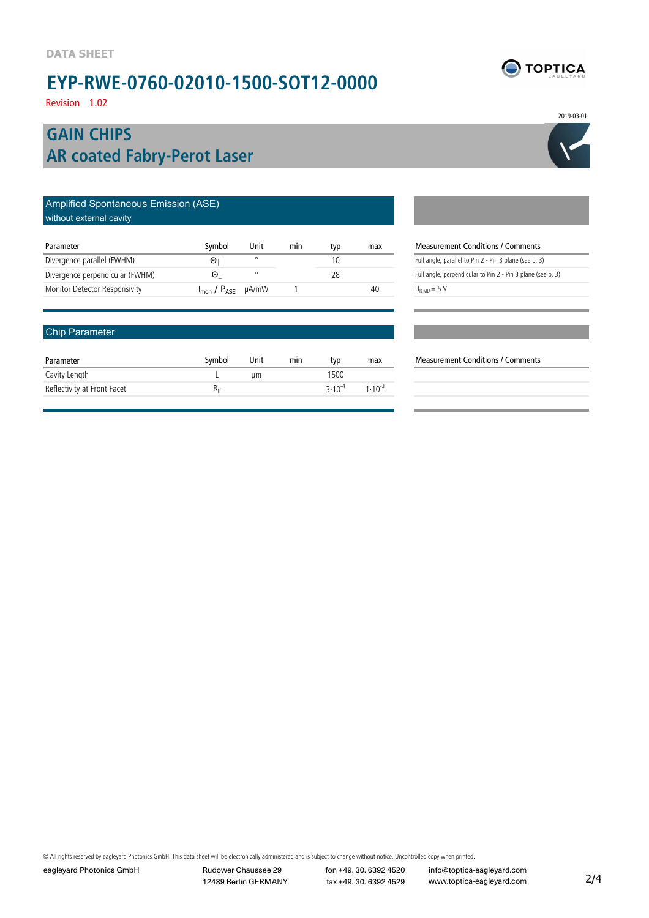Revision 1.02

## **AR coated Fabry-Perot Laser GAIN CHIPS**

| Amplified Spontaneous Emission (ASE)<br>without external cavity |                                     |         |     |     |     |                                                             |
|-----------------------------------------------------------------|-------------------------------------|---------|-----|-----|-----|-------------------------------------------------------------|
| Parameter                                                       | Symbol                              | Unit    | min | typ | max | <b>Measurement Conditions / Comments</b>                    |
| Divergence parallel (FWHM)                                      | $\Theta$                            | $\circ$ |     | 10  |     | Full angle, parallel to Pin 2 - Pin 3 plane (see p. 3)      |
| Divergence perpendicular (FWHM)                                 | $\Theta$                            | $\circ$ |     | 28  |     | Full angle, perpendicular to Pin 2 - Pin 3 plane (see p. 3) |
| Monitor Detector Responsivity                                   | $I_{\text{mon}}$ / $P_{\text{ASE}}$ | uA/mW   |     |     | 40  | $U_{\rm RMD} = 5$ V                                         |

### Chip Parameter

| Parameter                   | Symbol | Unit | min | tvp         | max         |
|-----------------------------|--------|------|-----|-------------|-------------|
| Cavity Length               |        | иm   |     | 1500        |             |
| Reflectivity at Front Facet | Rн     |      |     | $3.10^{-4}$ | $1.10^{-3}$ |

| Measurement Conditions / Comments                           |
|-------------------------------------------------------------|
| Full angle, parallel to Pin 2 - Pin 3 plane (see p. 3)      |
| Full angle, perpendicular to Pin 2 - Pin 3 plane (see p. 3) |
| $U_{\rm RMD} = 5$ V                                         |
|                                                             |
|                                                             |
|                                                             |
|                                                             |

#### Measurement Conditions / Comments

© All rights reserved by eagleyard Photonics GmbH. This data sheet will be electronically administered and is subject to change without notice. Uncontrolled copy when printed.

eagleyard Photonics GmbH Rudower Chaussee 29 fon +49. 30. 6392 4520

12489 Berlin GERMANY fax +49. 30. 6392 4529



2019-03-01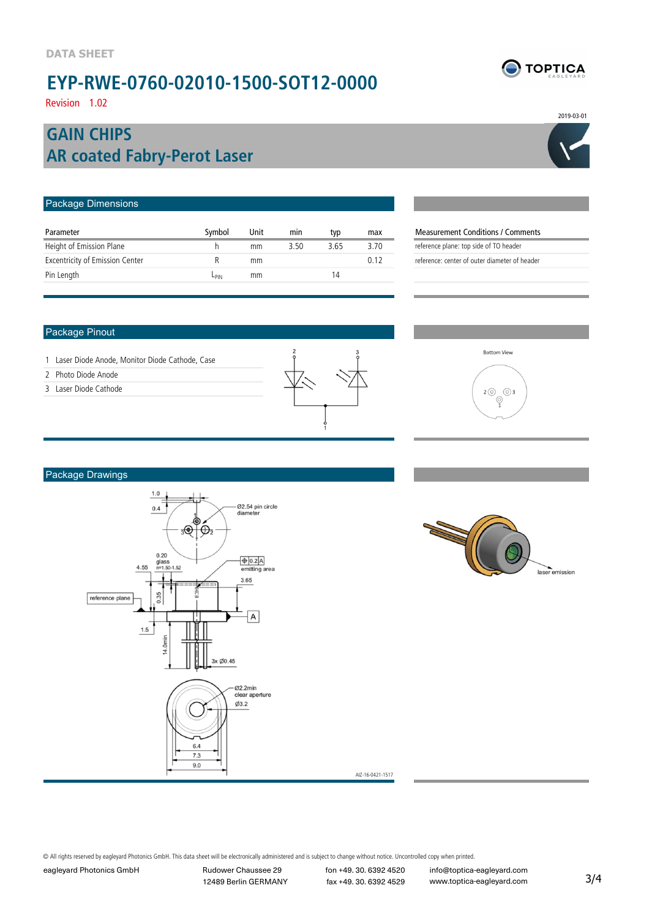Revision 1.02

## **AR coated Fabry-Perot Laser GAIN CHIPS**

| Package Dimensions                     |        |      |      |      |      |
|----------------------------------------|--------|------|------|------|------|
| Parameter                              | Symbol | Unit | min  | typ  | max  |
| Height of Emission Plane               | h      | mm   | 3.50 | 3.65 | 3.70 |
| <b>Excentricity of Emission Center</b> | R      | mm   |      |      | 0.12 |
| Pin Length                             | LpIN   | mm   |      | 14   |      |
|                                        |        |      |      |      |      |

#### Package Pinout

- 1 Laser Diode Anode, Monitor Diode Cathode, Case
- 2 Photo Diode Anode
- 3 Laser Diode Cathode





Measurement Conditions / Comments reference plane: top side of TO header reference: center of outer diameter of header

### Package Drawings





AIZ-16-0421-1517

© All rights reserved by eagleyard Photonics GmbH. This data sheet will be electronically administered and is subject to change without notice. Uncontrolled copy when printed.

eagleyard Photonics GmbH Rudower Chaussee 29 fon +49. 30. 6392 4520 12489 Berlin GERMANY fax +49. 30. 6392 4529

info@toptica-eagleyard.com www.toptica-eagleyard.com